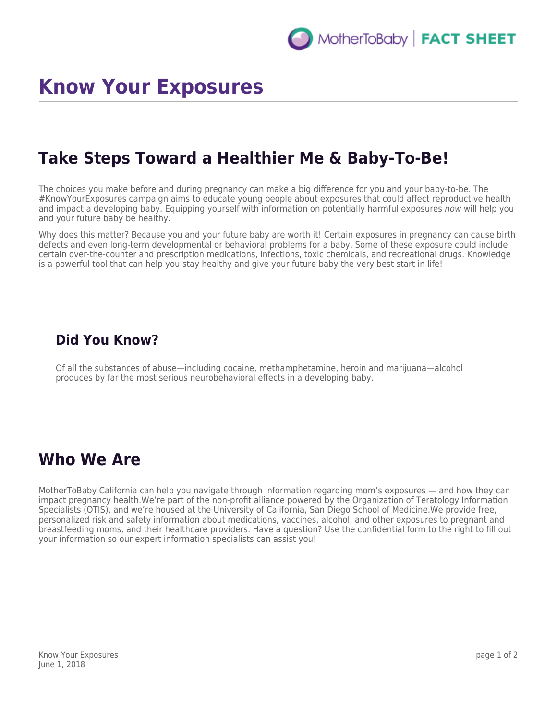# **Know Your Exposures**

### **Take Steps Toward a Healthier Me & Baby-To-Be!**

The choices you make before and during pregnancy can make a big difference for you and your baby-to-be. The #KnowYourExposures campaign aims to educate young people about exposures that could affect reproductive health and impact a developing baby. Equipping yourself with information on potentially harmful exposures now will help you and your future baby be healthy.

Why does this matter? Because you and your future baby are worth it! Certain exposures in pregnancy can cause birth defects and even long-term developmental or behavioral problems for a baby. Some of these exposure could include certain over-the-counter and prescription medications, infections, toxic chemicals, and recreational drugs. Knowledge is a powerful tool that can help you stay healthy and give your future baby the very best start in life!

#### **Did You Know?**

Of all the substances of abuse—including cocaine, methamphetamine, heroin and marijuana—alcohol produces by far the most serious neurobehavioral effects in a developing baby.

#### **Who We Are**

MotherToBaby California can help you navigate through information regarding mom's exposures — and how they can impact pregnancy health.We're part of the non-profit alliance powered by the Organization of Teratology Information Specialists (OTIS), and we're housed at the University of California, San Diego School of Medicine.We provide free, personalized risk and safety information about medications, vaccines, alcohol, and other exposures to pregnant and breastfeeding moms, and their healthcare providers. Have a question? Use the confidential form to the right to fill out your information so our expert information specialists can assist you!